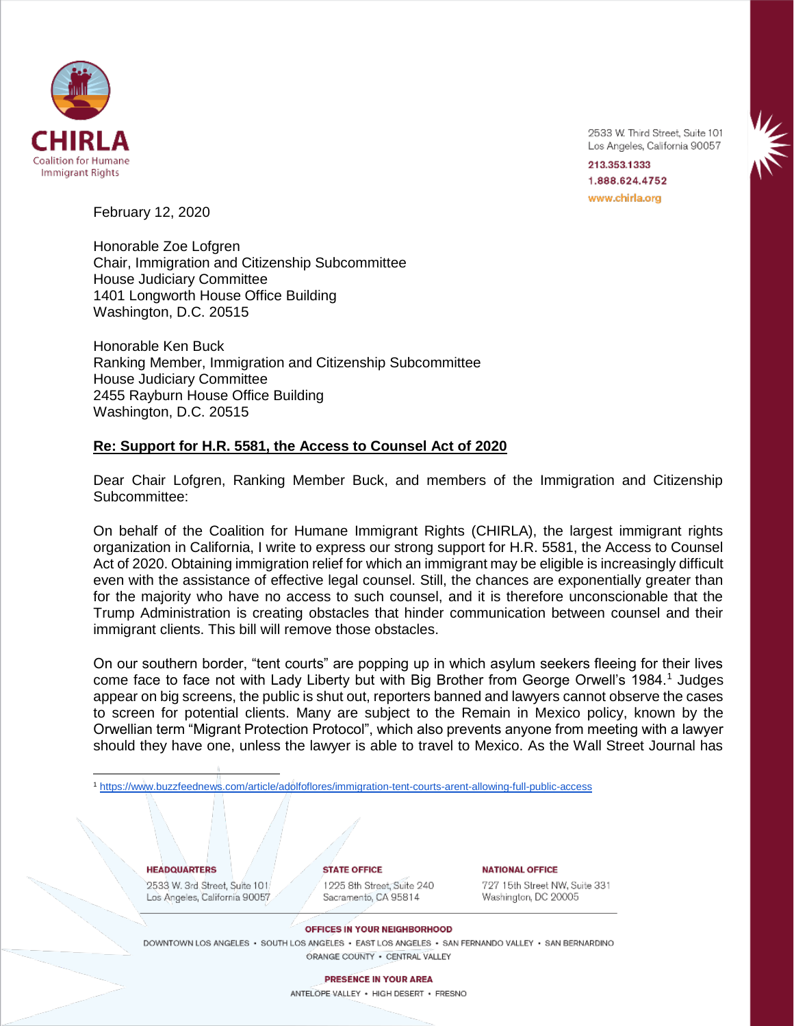

2533 W. Third Street, Suite 101 Los Angeles, California 90057

213.353.1333 1.888.624.4752 www.chirla.org

February 12, 2020

Honorable Zoe Lofgren Chair, Immigration and Citizenship Subcommittee House Judiciary Committee 1401 Longworth House Office Building Washington, D.C. 20515

Honorable Ken Buck Ranking Member, Immigration and Citizenship Subcommittee House Judiciary Committee 2455 Rayburn House Office Building Washington, D.C. 20515

## **Re: Support for H.R. 5581, the Access to Counsel Act of 2020**

Dear Chair Lofgren, Ranking Member Buck, and members of the Immigration and Citizenship Subcommittee:

On behalf of the Coalition for Humane Immigrant Rights (CHIRLA), the largest immigrant rights organization in California, I write to express our strong support for H.R. 5581, the Access to Counsel Act of 2020. Obtaining immigration relief for which an immigrant may be eligible is increasingly difficult even with the assistance of effective legal counsel. Still, the chances are exponentially greater than for the majority who have no access to such counsel, and it is therefore unconscionable that the Trump Administration is creating obstacles that hinder communication between counsel and their immigrant clients. This bill will remove those obstacles.

On our southern border, "tent courts" are popping up in which asylum seekers fleeing for their lives come face to face not with Lady Liberty but with Big Brother from George Orwell's 1984.<sup>1</sup> Judges appear on big screens, the public is shut out, reporters banned and lawyers cannot observe the cases to screen for potential clients. Many are subject to the Remain in Mexico policy, known by the Orwellian term "Migrant Protection Protocol", which also prevents anyone from meeting with a lawyer should they have one, unless the lawyer is able to travel to Mexico. As the Wall Street Journal has

<sup>1</sup> <https://www.buzzfeednews.com/article/adolfoflores/immigration-tent-courts-arent-allowing-full-public-access>

### **HEADQUARTERS** 2533 W. 3rd Street, Suite 101 Los Angeles, California 90057

 $\overline{\phantom{a}}$ 

**STATE OFFICE** 1225 8th Street, Suite 240 Sacramento, CA 95814

**NATIONAL OFFICE** 727 15th Street NW, Suite 331

Washington, DC 20005

#### OFFICES IN YOUR NEIGHBORHOOD

DOWNTOWN LOS ANGELES · SOUTH LOS ANGELES · EAST LOS ANGELES · SAN FERNANDO VALLEY · SAN BERNARDINO ORANGE COUNTY . CENTRAL VALLEY

> **PRESENCE IN YOUR AREA** ANTELOPE VALLEY . HIGH DESERT . FRESNO